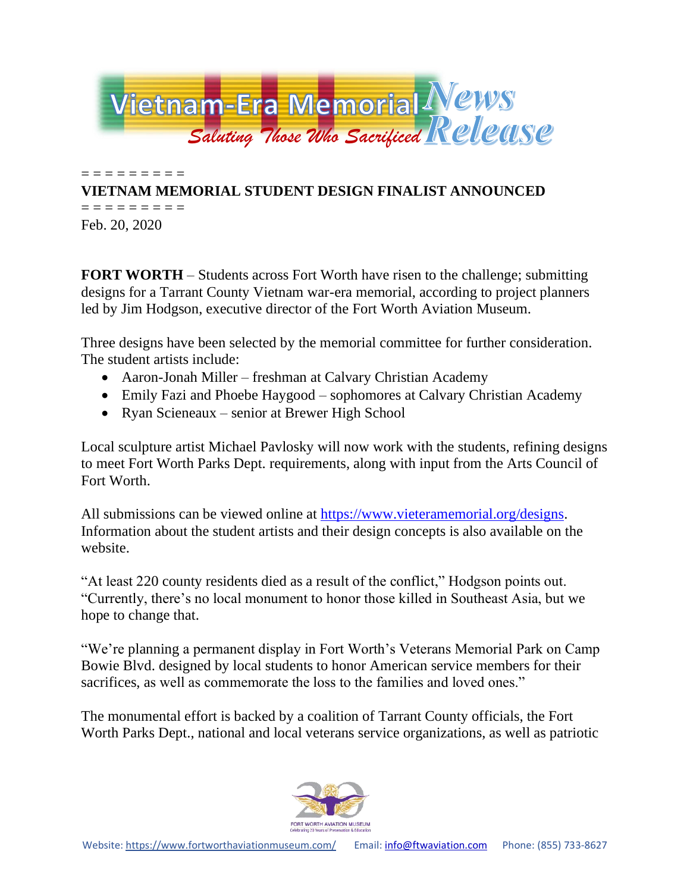

= = = = = = = = = **VIETNAM MEMORIAL STUDENT DESIGN FINALIST ANNOUNCED**

= = = = = = = = = Feb. 20, 2020

**FORT WORTH** – Students across Fort Worth have risen to the challenge; submitting designs for a Tarrant County Vietnam war-era memorial, according to project planners led by Jim Hodgson, executive director of the Fort Worth Aviation Museum.

Three designs have been selected by the memorial committee for further consideration. The student artists include:

- Aaron-Jonah Miller freshman at Calvary Christian Academy
- Emily Fazi and Phoebe Haygood sophomores at Calvary Christian Academy
- Ryan Scieneaux senior at Brewer High School

Local sculpture artist Michael Pavlosky will now work with the students, refining designs to meet Fort Worth Parks Dept. requirements, along with input from the Arts Council of Fort Worth.

All submissions can be viewed online at [https://www.vieteramemorial.org/designs.](https://www.vieteramemorial.org/designs) Information about the student artists and their design concepts is also available on the website.

"At least 220 county residents died as a result of the conflict," Hodgson points out. "Currently, there's no local monument to honor those killed in Southeast Asia, but we hope to change that.

"We're planning a permanent display in Fort Worth's Veterans Memorial Park on Camp Bowie Blvd. designed by local students to honor American service members for their sacrifices, as well as commemorate the loss to the families and loved ones."

The monumental effort is backed by a coalition of Tarrant County officials, the Fort Worth Parks Dept., national and local veterans service organizations, as well as patriotic